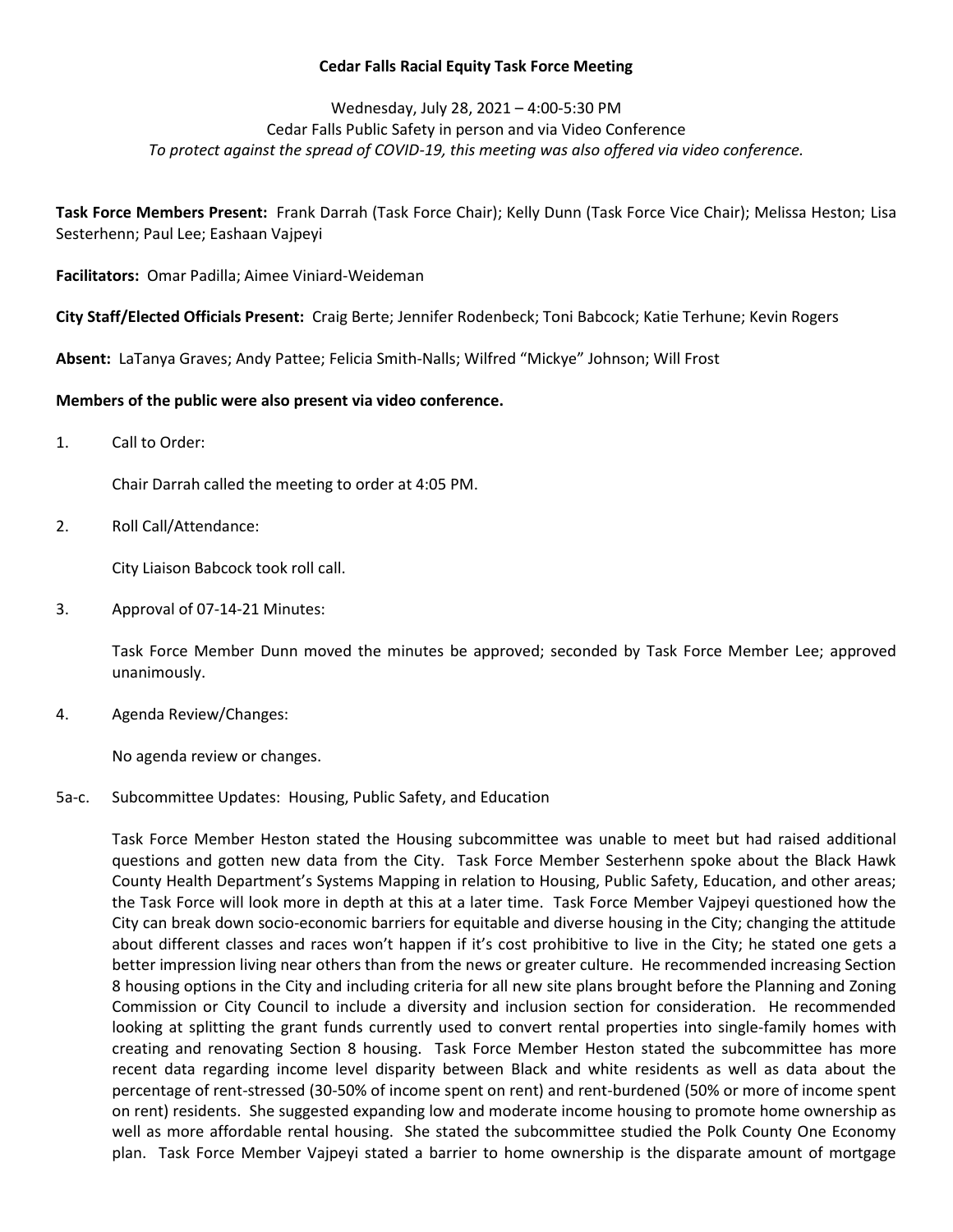## **Cedar Falls Racial Equity Task Force Meeting**

# Wednesday, July 28, 2021 – 4:00-5:30 PM Cedar Falls Public Safety in person and via Video Conference *To protect against the spread of COVID-19, this meeting was also offered via video conference.*

**Task Force Members Present:** Frank Darrah (Task Force Chair); Kelly Dunn (Task Force Vice Chair); Melissa Heston; Lisa Sesterhenn; Paul Lee; Eashaan Vajpeyi

**Facilitators:** Omar Padilla; Aimee Viniard-Weideman

**City Staff/Elected Officials Present:** Craig Berte; Jennifer Rodenbeck; Toni Babcock; Katie Terhune; Kevin Rogers

**Absent:** LaTanya Graves; Andy Pattee; Felicia Smith-Nalls; Wilfred "Mickye" Johnson; Will Frost

## **Members of the public were also present via video conference.**

1. Call to Order:

Chair Darrah called the meeting to order at 4:05 PM.

2. Roll Call/Attendance:

City Liaison Babcock took roll call.

3. Approval of 07-14-21 Minutes:

Task Force Member Dunn moved the minutes be approved; seconded by Task Force Member Lee; approved unanimously.

4. Agenda Review/Changes:

No agenda review or changes.

## 5a-c. Subcommittee Updates: Housing, Public Safety, and Education

Task Force Member Heston stated the Housing subcommittee was unable to meet but had raised additional questions and gotten new data from the City. Task Force Member Sesterhenn spoke about the Black Hawk County Health Department's Systems Mapping in relation to Housing, Public Safety, Education, and other areas; the Task Force will look more in depth at this at a later time. Task Force Member Vajpeyi questioned how the City can break down socio-economic barriers for equitable and diverse housing in the City; changing the attitude about different classes and races won't happen if it's cost prohibitive to live in the City; he stated one gets a better impression living near others than from the news or greater culture. He recommended increasing Section 8 housing options in the City and including criteria for all new site plans brought before the Planning and Zoning Commission or City Council to include a diversity and inclusion section for consideration. He recommended looking at splitting the grant funds currently used to convert rental properties into single-family homes with creating and renovating Section 8 housing. Task Force Member Heston stated the subcommittee has more recent data regarding income level disparity between Black and white residents as well as data about the percentage of rent-stressed (30-50% of income spent on rent) and rent-burdened (50% or more of income spent on rent) residents. She suggested expanding low and moderate income housing to promote home ownership as well as more affordable rental housing. She stated the subcommittee studied the Polk County One Economy plan. Task Force Member Vajpeyi stated a barrier to home ownership is the disparate amount of mortgage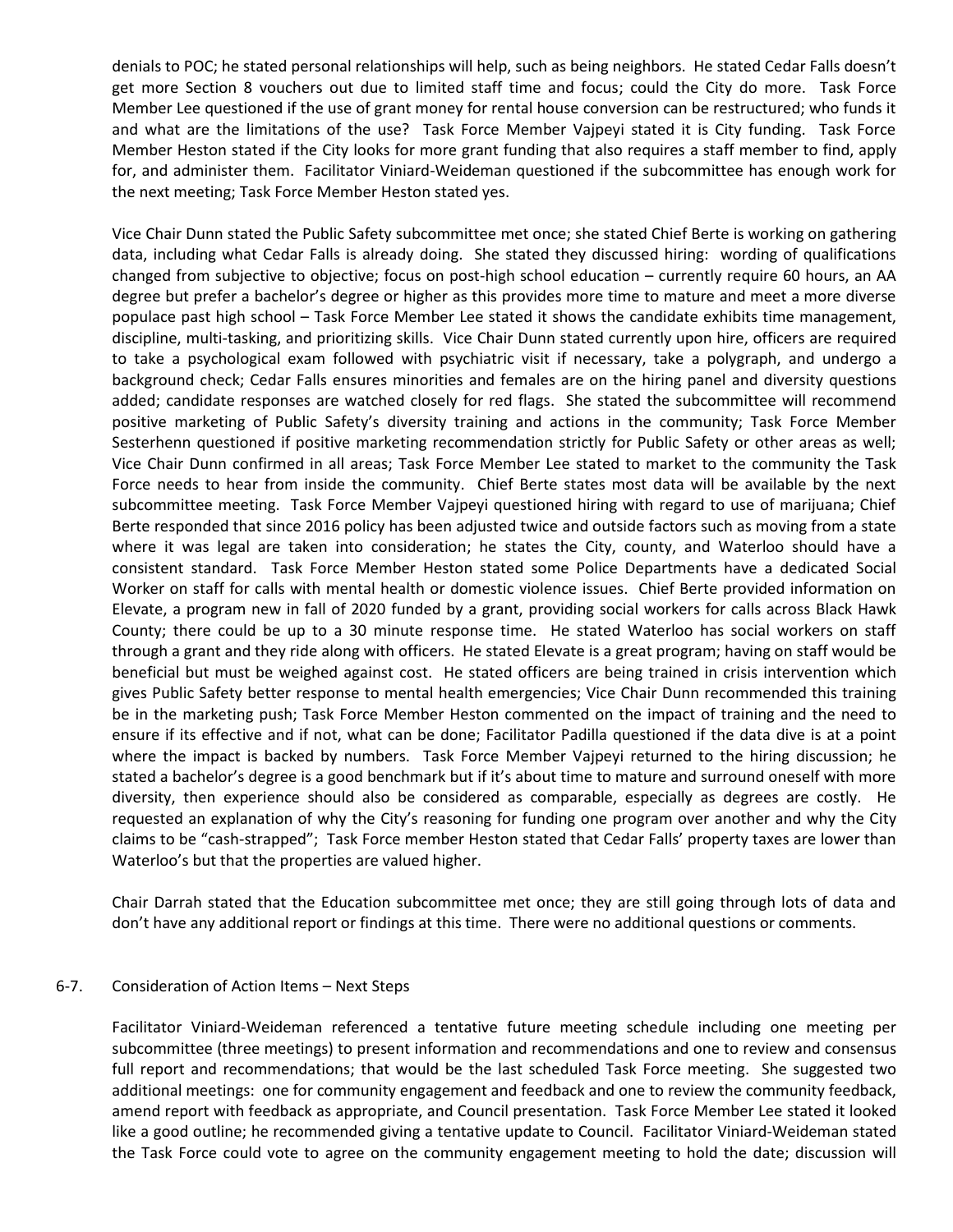denials to POC; he stated personal relationships will help, such as being neighbors. He stated Cedar Falls doesn't get more Section 8 vouchers out due to limited staff time and focus; could the City do more. Task Force Member Lee questioned if the use of grant money for rental house conversion can be restructured; who funds it and what are the limitations of the use? Task Force Member Vajpeyi stated it is City funding. Task Force Member Heston stated if the City looks for more grant funding that also requires a staff member to find, apply for, and administer them. Facilitator Viniard-Weideman questioned if the subcommittee has enough work for the next meeting; Task Force Member Heston stated yes.

Vice Chair Dunn stated the Public Safety subcommittee met once; she stated Chief Berte is working on gathering data, including what Cedar Falls is already doing. She stated they discussed hiring: wording of qualifications changed from subjective to objective; focus on post-high school education – currently require 60 hours, an AA degree but prefer a bachelor's degree or higher as this provides more time to mature and meet a more diverse populace past high school – Task Force Member Lee stated it shows the candidate exhibits time management, discipline, multi-tasking, and prioritizing skills. Vice Chair Dunn stated currently upon hire, officers are required to take a psychological exam followed with psychiatric visit if necessary, take a polygraph, and undergo a background check; Cedar Falls ensures minorities and females are on the hiring panel and diversity questions added; candidate responses are watched closely for red flags. She stated the subcommittee will recommend positive marketing of Public Safety's diversity training and actions in the community; Task Force Member Sesterhenn questioned if positive marketing recommendation strictly for Public Safety or other areas as well; Vice Chair Dunn confirmed in all areas; Task Force Member Lee stated to market to the community the Task Force needs to hear from inside the community. Chief Berte states most data will be available by the next subcommittee meeting. Task Force Member Vajpeyi questioned hiring with regard to use of marijuana; Chief Berte responded that since 2016 policy has been adjusted twice and outside factors such as moving from a state where it was legal are taken into consideration; he states the City, county, and Waterloo should have a consistent standard. Task Force Member Heston stated some Police Departments have a dedicated Social Worker on staff for calls with mental health or domestic violence issues. Chief Berte provided information on Elevate, a program new in fall of 2020 funded by a grant, providing social workers for calls across Black Hawk County; there could be up to a 30 minute response time. He stated Waterloo has social workers on staff through a grant and they ride along with officers. He stated Elevate is a great program; having on staff would be beneficial but must be weighed against cost. He stated officers are being trained in crisis intervention which gives Public Safety better response to mental health emergencies; Vice Chair Dunn recommended this training be in the marketing push; Task Force Member Heston commented on the impact of training and the need to ensure if its effective and if not, what can be done; Facilitator Padilla questioned if the data dive is at a point where the impact is backed by numbers. Task Force Member Vajpeyi returned to the hiring discussion; he stated a bachelor's degree is a good benchmark but if it's about time to mature and surround oneself with more diversity, then experience should also be considered as comparable, especially as degrees are costly. He requested an explanation of why the City's reasoning for funding one program over another and why the City claims to be "cash-strapped"; Task Force member Heston stated that Cedar Falls' property taxes are lower than Waterloo's but that the properties are valued higher.

Chair Darrah stated that the Education subcommittee met once; they are still going through lots of data and don't have any additional report or findings at this time. There were no additional questions or comments.

#### 6-7. Consideration of Action Items – Next Steps

Facilitator Viniard-Weideman referenced a tentative future meeting schedule including one meeting per subcommittee (three meetings) to present information and recommendations and one to review and consensus full report and recommendations; that would be the last scheduled Task Force meeting. She suggested two additional meetings: one for community engagement and feedback and one to review the community feedback, amend report with feedback as appropriate, and Council presentation. Task Force Member Lee stated it looked like a good outline; he recommended giving a tentative update to Council. Facilitator Viniard-Weideman stated the Task Force could vote to agree on the community engagement meeting to hold the date; discussion will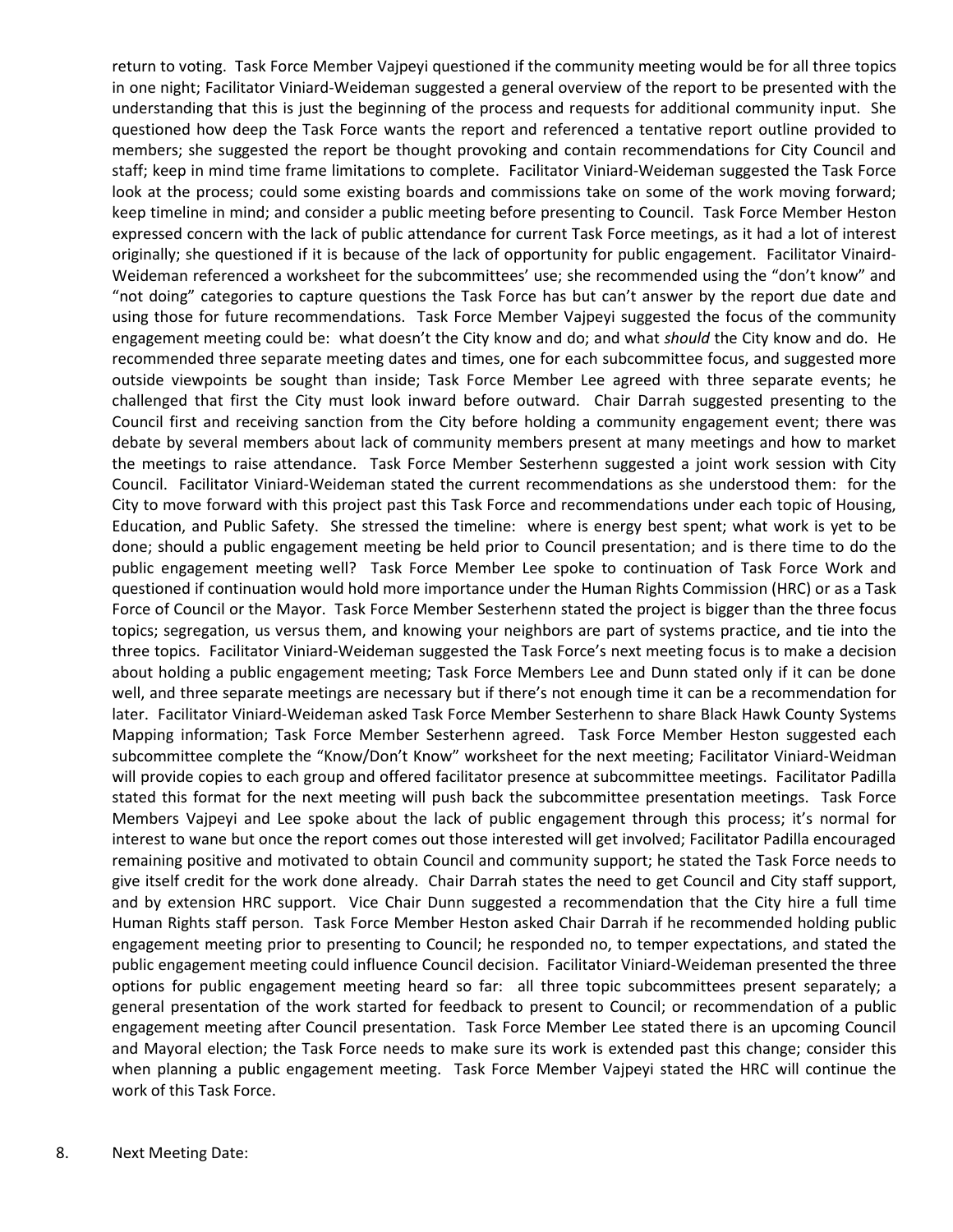return to voting. Task Force Member Vajpeyi questioned if the community meeting would be for all three topics in one night; Facilitator Viniard-Weideman suggested a general overview of the report to be presented with the understanding that this is just the beginning of the process and requests for additional community input. She questioned how deep the Task Force wants the report and referenced a tentative report outline provided to members; she suggested the report be thought provoking and contain recommendations for City Council and staff; keep in mind time frame limitations to complete. Facilitator Viniard-Weideman suggested the Task Force look at the process; could some existing boards and commissions take on some of the work moving forward; keep timeline in mind; and consider a public meeting before presenting to Council. Task Force Member Heston expressed concern with the lack of public attendance for current Task Force meetings, as it had a lot of interest originally; she questioned if it is because of the lack of opportunity for public engagement. Facilitator Vinaird-Weideman referenced a worksheet for the subcommittees' use; she recommended using the "don't know" and "not doing" categories to capture questions the Task Force has but can't answer by the report due date and using those for future recommendations. Task Force Member Vajpeyi suggested the focus of the community engagement meeting could be: what doesn't the City know and do; and what *should* the City know and do. He recommended three separate meeting dates and times, one for each subcommittee focus, and suggested more outside viewpoints be sought than inside; Task Force Member Lee agreed with three separate events; he challenged that first the City must look inward before outward. Chair Darrah suggested presenting to the Council first and receiving sanction from the City before holding a community engagement event; there was debate by several members about lack of community members present at many meetings and how to market the meetings to raise attendance. Task Force Member Sesterhenn suggested a joint work session with City Council. Facilitator Viniard-Weideman stated the current recommendations as she understood them: for the City to move forward with this project past this Task Force and recommendations under each topic of Housing, Education, and Public Safety. She stressed the timeline: where is energy best spent; what work is yet to be done; should a public engagement meeting be held prior to Council presentation; and is there time to do the public engagement meeting well? Task Force Member Lee spoke to continuation of Task Force Work and questioned if continuation would hold more importance under the Human Rights Commission (HRC) or as a Task Force of Council or the Mayor. Task Force Member Sesterhenn stated the project is bigger than the three focus topics; segregation, us versus them, and knowing your neighbors are part of systems practice, and tie into the three topics. Facilitator Viniard-Weideman suggested the Task Force's next meeting focus is to make a decision about holding a public engagement meeting; Task Force Members Lee and Dunn stated only if it can be done well, and three separate meetings are necessary but if there's not enough time it can be a recommendation for later. Facilitator Viniard-Weideman asked Task Force Member Sesterhenn to share Black Hawk County Systems Mapping information; Task Force Member Sesterhenn agreed. Task Force Member Heston suggested each subcommittee complete the "Know/Don't Know" worksheet for the next meeting; Facilitator Viniard-Weidman will provide copies to each group and offered facilitator presence at subcommittee meetings. Facilitator Padilla stated this format for the next meeting will push back the subcommittee presentation meetings. Task Force Members Vajpeyi and Lee spoke about the lack of public engagement through this process; it's normal for interest to wane but once the report comes out those interested will get involved; Facilitator Padilla encouraged remaining positive and motivated to obtain Council and community support; he stated the Task Force needs to give itself credit for the work done already. Chair Darrah states the need to get Council and City staff support, and by extension HRC support. Vice Chair Dunn suggested a recommendation that the City hire a full time Human Rights staff person. Task Force Member Heston asked Chair Darrah if he recommended holding public engagement meeting prior to presenting to Council; he responded no, to temper expectations, and stated the public engagement meeting could influence Council decision. Facilitator Viniard-Weideman presented the three options for public engagement meeting heard so far: all three topic subcommittees present separately; a general presentation of the work started for feedback to present to Council; or recommendation of a public engagement meeting after Council presentation. Task Force Member Lee stated there is an upcoming Council and Mayoral election; the Task Force needs to make sure its work is extended past this change; consider this when planning a public engagement meeting. Task Force Member Vajpeyi stated the HRC will continue the work of this Task Force.